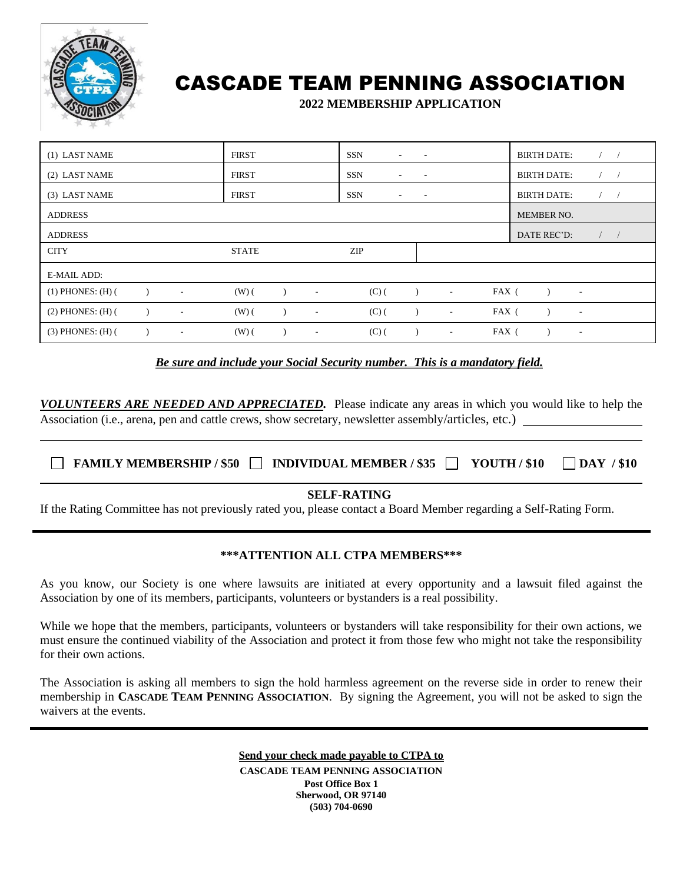

## CASCADE TEAM PENNING ASSOCIATION

**2022 MEMBERSHIP APPLICATION**

| (1) LAST NAME         |                          | <b>FIRST</b> |                          | SSN<br>$\sim$ | $\sim$                   |        |       | <b>BIRTH DATE:</b> |                          | $\sqrt{ }$ |  |
|-----------------------|--------------------------|--------------|--------------------------|---------------|--------------------------|--------|-------|--------------------|--------------------------|------------|--|
| (2) LAST NAME         |                          | <b>FIRST</b> |                          | SSN<br>$\sim$ | $\sim$                   |        |       | <b>BIRTH DATE:</b> |                          | $\sqrt{2}$ |  |
| (3) LAST NAME         |                          | <b>FIRST</b> |                          | SSN<br>۰.     | $\overline{\phantom{a}}$ |        |       | <b>BIRTH DATE:</b> |                          |            |  |
| <b>ADDRESS</b>        |                          |              |                          |               |                          |        |       | MEMBER NO.         |                          |            |  |
| <b>ADDRESS</b>        |                          |              |                          |               |                          |        |       | DATE REC'D:        |                          | $\sqrt{2}$ |  |
| <b>CITY</b>           |                          | <b>STATE</b> |                          | <b>ZIP</b>    |                          |        |       |                    |                          |            |  |
| <b>E-MAIL ADD:</b>    |                          |              |                          |               |                          |        |       |                    |                          |            |  |
| $(1)$ PHONES: $(H)$ ( | $\overline{\phantom{a}}$ | $(W)$ $($    | $\overline{\phantom{a}}$ | $(C)$ (       |                          | $\sim$ | FAX ( |                    | $\sim$                   |            |  |
| $(2)$ PHONES: $(H)$ ( | $\overline{\phantom{a}}$ | $(W)$ $($    | $\overline{\phantom{a}}$ | $(C)$ (       |                          | $\sim$ | FAX ( |                    | $\sim$                   |            |  |
| $(3)$ PHONES: $(H)$ ( | $\sim$                   | $(W)$ (      | $\overline{\phantom{a}}$ | $(C)$ (       |                          | $\sim$ | FAX ( |                    | $\overline{\phantom{a}}$ |            |  |

*Be sure and include your Social Security number. This is a mandatory field.*

*VOLUNTEERS ARE NEEDED AND APPRECIATED.* Please indicate any areas in which you would like to help the Association (i.e., arena, pen and cattle crews, show secretary, newsletter assembly/articles, etc.)

| $\Box$ FAMILY MEMBERSHIP / \$50 $\Box$ INDIVIDUAL MEMBER / \$35 $\Box$ |  | $\sqrt{10}$ YOUTH / \$10 | $\Box$ DAY / \$10 |
|------------------------------------------------------------------------|--|--------------------------|-------------------|
|                                                                        |  |                          |                   |

**SELF-RATING**

If the Rating Committee has not previously rated you, please contact a Board Member regarding a Self-Rating Form.

## **\*\*\*ATTENTION ALL CTPA MEMBERS\*\*\***

As you know, our Society is one where lawsuits are initiated at every opportunity and a lawsuit filed against the Association by one of its members, participants, volunteers or bystanders is a real possibility.

While we hope that the members, participants, volunteers or bystanders will take responsibility for their own actions, we must ensure the continued viability of the Association and protect it from those few who might not take the responsibility for their own actions.

The Association is asking all members to sign the hold harmless agreement on the reverse side in order to renew their membership in **CASCADE TEAM PENNING ASSOCIATION**. By signing the Agreement, you will not be asked to sign the waivers at the events.

> **Send your check made payable to CTPA to CASCADE TEAM PENNING ASSOCIATION Post Office Box 1 Sherwood, OR 97140 (503) 704-0690**